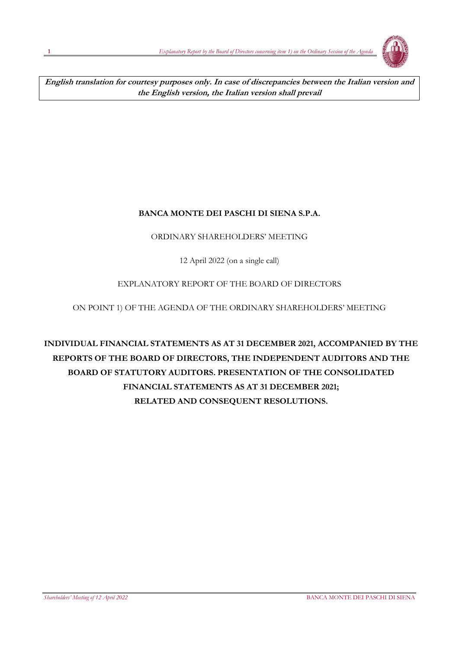

**English translation for courtesy purposes only. In case of discrepancies between the Italian version and the English version, the Italian version shall prevail**

## **BANCA MONTE DEI PASCHI DI SIENA S.P.A.**

## ORDINARY SHAREHOLDERS' MEETING

12 April 2022 (on a single call)

## EXPLANATORY REPORT OF THE BOARD OF DIRECTORS

## ON POINT 1) OF THE AGENDA OF THE ORDINARY SHAREHOLDERS' MEETING

# **INDIVIDUAL FINANCIAL STATEMENTS AS AT 31 DECEMBER 2021, ACCOMPANIED BY THE REPORTS OF THE BOARD OF DIRECTORS, THE INDEPENDENT AUDITORS AND THE BOARD OF STATUTORY AUDITORS. PRESENTATION OF THE CONSOLIDATED FINANCIAL STATEMENTS AS AT 31 DECEMBER 2021; RELATED AND CONSEQUENT RESOLUTIONS.**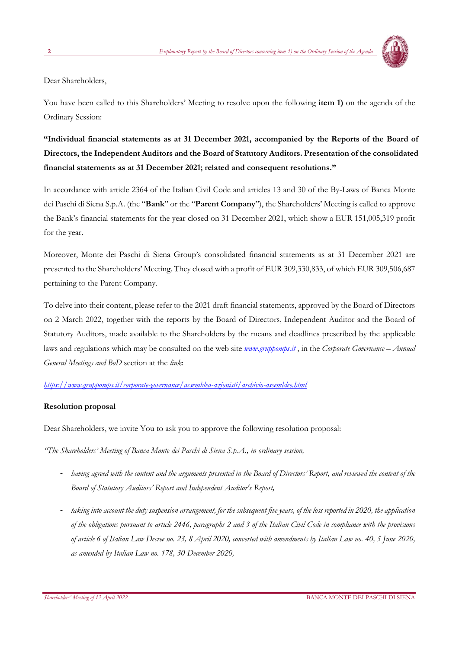

Dear Shareholders,

You have been called to this Shareholders' Meeting to resolve upon the following **item 1)** on the agenda of the Ordinary Session:

## **"Individual financial statements as at 31 December 2021, accompanied by the Reports of the Board of Directors, the Independent Auditors and the Board of Statutory Auditors. Presentation of the consolidated financial statements as at 31 December 2021; related and consequent resolutions."**

In accordance with article 2364 of the Italian Civil Code and articles 13 and 30 of the By-Laws of Banca Monte dei Paschi di Siena S.p.A. (the "**Bank**" or the "**Parent Company**"), the Shareholders' Meeting is called to approve the Bank's financial statements for the year closed on 31 December 2021, which show a EUR 151,005,319 profit for the year.

Moreover, Monte dei Paschi di Siena Group's consolidated financial statements as at 31 December 2021 are presented to the Shareholders' Meeting. They closed with a profit of EUR 309,330,833, of which EUR 309,506,687 pertaining to the Parent Company.

To delve into their content, please refer to the 2021 draft financial statements, approved by the Board of Directors on 2 March 2022, together with the reports by the Board of Directors, Independent Auditor and the Board of Statutory Auditors, made available to the Shareholders by the means and deadlines prescribed by the applicable laws and regulations which may be consulted on the web site *[www.gruppomps.it](http://www.gruppomps.it/)* , in the *Corporate Governance* – *Annual General Meetings and BoD* section at the *link*:

### *<https://www.gruppomps.it/corporate-governance/assemblea-azionisti/archivio-assemblee.html>*

### **Resolution proposal**

Dear Shareholders, we invite You to ask you to approve the following resolution proposal:

*"The Shareholders' Meeting of Banca Monte dei Paschi di Siena S.p.A., in ordinary session,* 

- *having agreed with the content and the arguments presented in the Board of Directors' Report, and reviewed the content of the Board of Statutory Auditors' Report and Independent Auditor's Report,*
- *taking into account the duty suspension arrangement, for the subsequent five years, of the loss reported in 2020, the application of the obligations pursuant to article 2446, paragraphs 2 and 3 of the Italian Civil Code in compliance with the provisions of article 6 of Italian Law Decree no. 23, 8 April 2020, converted with amendments by Italian Law no. 40, 5 June 2020, as amended by Italian Law no. 178, 30 December 2020,*